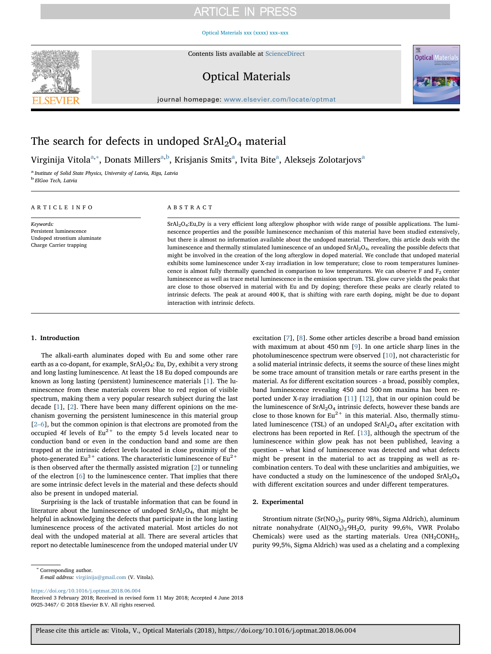# **ARTICLE IN PRESS**

[Optical Materials xxx \(xxxx\) xxx–xxx](https://doi.org/10.1016/j.optmat.2018.06.004)



Contents lists available at [ScienceDirect](http://www.sciencedirect.com/science/journal/09253467)

### Optical Materials



journal homepage: [www.elsevier.com/locate/optmat](https://www.elsevier.com/locate/optmat)

# The search for defects in undoped  $SrAl<sub>2</sub>O<sub>4</sub>$  material

Virginij[a](#page-0-0) Vitola<sup>a,[∗](#page-0-1)</sup>, Donats Millers<sup>[a,](#page-0-0)[b](#page-0-2)</sup>, Krisjanis Smits<sup>a</sup>, Ivita Bite<sup>a</sup>, Aleksejs Zolotarjovs<sup>a</sup>

<span id="page-0-2"></span><span id="page-0-0"></span><sup>a</sup> Institute of Solid State Physics, University of Latvia, Riga, Latvia <sup>b</sup> ElGoo Tech, Latvia

#### ARTICLE INFO

Keywords: Persistent luminescence Undoped strontium aluminate Charge Carrier trapping

### ABSTRACT

SrAl2O4:Eu,Dy is a very efficient long afterglow phosphor with wide range of possible applications. The luminescence properties and the possible luminescence mechanism of this material have been studied extensively, but there is almost no information available about the undoped material. Therefore, this article deals with the luminescence and thermally stimulated luminescence of an undoped SrAl2O4, revealing the possible defects that might be involved in the creation of the long afterglow in doped material. We conclude that undoped material exhibits some luminescence under X-ray irradiation in low temperature; close to room temperatures luminescence is almost fully thermally quenched in comparison to low temperatures. We can observe F and  $F_2$  center luminescence as well as trace metal luminescence in the emission spectrum. TSL glow curve yields the peaks that are close to those observed in material with Eu and Dy doping; therefore these peaks are clearly related to intrinsic defects. The peak at around 400 K, that is shifting with rare earth doping, might be due to dopant interaction with intrinsic defects.

#### 1. Introduction

The alkali-earth aluminates doped with Eu and some other rare earth as a co-dopant, for example,  $SrAl<sub>2</sub>O<sub>4</sub>$ : Eu, Dy, exhibit a very strong and long lasting luminescence. At least the 18 Eu doped compounds are known as long lasting (persistent) luminescence materials [\[1\]](#page-3-0). The luminescence from these materials covers blue to red region of visible spectrum, making them a very popular research subject during the last decade [\[1](#page-3-0)], [[2](#page-3-1)]. There have been many different opinions on the mechanism governing the persistent luminescence in this material group [2–[6\]](#page-3-1), but the common opinion is that electrons are promoted from the occupied 4f levels of  $Eu<sup>2+</sup>$  to the empty 5d levels located near to conduction band or even in the conduction band and some are then trapped at the intrinsic defect levels located in close proximity of the photo-generated Eu<sup>3+</sup> cations. The characteristic luminescence of Eu<sup>2+</sup> is then observed after the thermally assisted migration [\[2\]](#page-3-1) or tunneling of the electron [[6](#page-3-2)] to the luminescence center. That implies that there are some intrinsic defect levels in the material and these defects should also be present in undoped material.

Surprising is the lack of trustable information that can be found in literature about the luminescence of undoped  $SrAl<sub>2</sub>O<sub>4</sub>$ , that might be helpful in acknowledging the defects that participate in the long lasting luminescence process of the activated material. Most articles do not deal with the undoped material at all. There are several articles that report no detectable luminescence from the undoped material under UV

excitation [\[7\]](#page-3-3), [\[8\]](#page-3-4). Some other articles describe a broad band emission with maximum at about 450 nm [[9](#page-3-5)]. In one article sharp lines in the photoluminescence spectrum were observed [[10\]](#page-3-6), not characteristic for a solid material intrinsic defects, it seems the source of these lines might be some trace amount of transition metals or rare earths present in the material. As for different excitation sources - a broad, possibly complex, band luminescence revealing 450 and 500 nm maxima has been reported under X-ray irradiation [[11\]](#page-3-7) [\[12](#page-3-8)], that in our opinion could be the luminescence of  $SrAl<sub>2</sub>O<sub>4</sub>$  intrinsic defects, however these bands are close to those known for  $Eu^{2+}$  in this material. Also, thermally stimulated luminescence (TSL) of an undoped  $SrAl<sub>2</sub>O<sub>4</sub>$  after excitation with electrons has been reported in Ref. [[13\]](#page-3-9), although the spectrum of the luminescence within glow peak has not been published, leaving a question – what kind of luminescence was detected and what defects might be present in the material to act as trapping as well as recombination centers. To deal with these unclarities and ambiguities, we have conducted a study on the luminescence of the undoped  $SrAl<sub>2</sub>O<sub>4</sub>$ with different excitation sources and under different temperatures.

### 2. Experimental

Strontium nitrate (Sr(NO<sub>3</sub>)<sub>2</sub>, purity 98%, Sigma Aldrich), aluminum nitrate nonahydrate (Al(NO<sub>3</sub>)<sub>3</sub>.9H<sub>2</sub>O, purity 99,6%, VWR Prolabo Chemicals) were used as the starting materials. Urea  $(NH_2CONH_2)$ , purity 99,5%, Sigma Aldrich) was used as a chelating and a complexing

<span id="page-0-1"></span><sup>∗</sup> Corresponding author.

E-mail address: [virgiinija@gmail.com](mailto:virgiinija@gmail.com) (V. Vitola).

<https://doi.org/10.1016/j.optmat.2018.06.004>

Received 3 February 2018; Received in revised form 11 May 2018; Accepted 4 June 2018 0925-3467/ © 2018 Elsevier B.V. All rights reserved.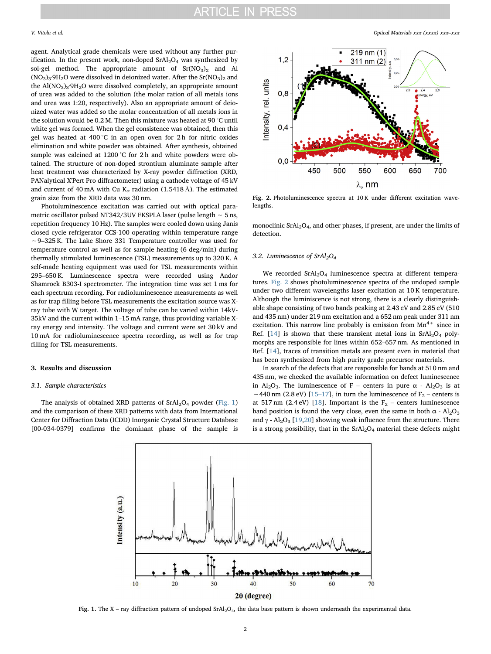agent. Analytical grade chemicals were used without any further purification. In the present work, non-doped  $SrAl<sub>2</sub>O<sub>4</sub>$  was synthesized by sol-gel method. The appropriate amount of  $Sr(NO<sub>3</sub>)<sub>2</sub>$  and Al  $(NO<sub>3</sub>)<sub>3</sub>·9H<sub>2</sub>O$  were dissolved in deionized water. After the Sr $(NO<sub>3</sub>)<sub>2</sub>$  and the  $Al(NO<sub>3</sub>)<sub>3</sub>·9H<sub>2</sub>O$  were dissolved completely, an appropriate amount of urea was added to the solution (the molar ration of all metals ions and urea was 1:20, respectively). Also an appropriate amount of deionized water was added so the molar concentration of all metals ions in the solution would be 0.2 M. Then this mixture was heated at 90 °C until white gel was formed. When the gel consistence was obtained, then this gel was heated at 400 °C in an open oven for 2 h for nitric oxides elimination and white powder was obtained. After synthesis, obtained sample was calcined at 1200 °C for 2 h and white powders were obtained. The structure of non-doped strontium aluminate sample after heat treatment was characterized by X-ray powder diffraction (XRD, PANalytical X'Pert Pro diffractometer) using a cathode voltage of 45 kV and current of 40 mA with Cu K<sub>a</sub> radiation (1.5418 Å). The estimated grain size from the XRD data was 30 nm.

Photoluminescence excitation was carried out with optical parametric oscillator pulsed NT342/3UV EKSPLA laser (pulse length ∼ 5 ns, repetition frequency 10 Hz). The samples were cooled down using Janis closed cycle refrigerator CCS-100 operating within temperature range ∼9–325 K. The Lake Shore 331 Temperature controller was used for temperature control as well as for sample heating (6 deg/min) during thermally stimulated luminescence (TSL) measurements up to 320 K. A self-made heating equipment was used for TSL measurements within 295–650 K. Luminescence spectra were recorded using Andor Shamrock B303-I spectrometer. The integration time was set 1 ms for each spectrum recording. For radioluminescence measurements as well as for trap filling before TSL measurements the excitation source was Xray tube with W target. The voltage of tube can be varied within 14kV-35kV and the current within 1–15 mA range, thus providing variable Xray energy and intensity. The voltage and current were set 30 kV and 10 mA for radioluminescence spectra recording, as well as for trap filling for TSL measurements.

#### 3. Results and discussion

#### 3.1. Sample characteristics

<span id="page-1-0"></span>The analysis of obtained XRD patterns of  $SrAl<sub>2</sub>O<sub>4</sub>$  powder ([Fig. 1\)](#page-1-0) and the comparison of these XRD patterns with data from International Center for Diffraction Data (ICDD) Inorganic Crystal Structure Database [00-034-0379] confirms the dominant phase of the sample is

<span id="page-1-1"></span>

Fig. 2. Photoluminescence spectra at  $10 K$  under different excitation wavelengths.

monoclinic SrAl<sub>2</sub>O<sub>4</sub>, and other phases, if present, are under the limits of detection.

#### 3.2. Luminescence of  $SrAl<sub>2</sub>O<sub>4</sub>$

We recorded  $SrAl<sub>2</sub>O<sub>4</sub>$  luminescence spectra at different temperatures. [Fig. 2](#page-1-1) shows photoluminescence spectra of the undoped sample under two different wavelengths laser excitation at 10 K temperature. Although the luminiscence is not strong, there is a clearly distinguishable shape consisting of two bands peaking at 2.43 eV and 2.85 eV (510 and 435 nm) under 219 nm excitation and a 652 nm peak under 311 nm excitation. This narrow line probably is emission from  $Mn^{4+}$  since in Ref. [[14\]](#page-3-10) is shown that these transient metal ions in  $SrAl<sub>2</sub>O<sub>4</sub>$  polymorphs are responsible for lines within 652–657 nm. As mentioned in Ref. [[14\]](#page-3-10), traces of transition metals are present even in material that has been synthesized from high purity grade precursor materials.

In search of the defects that are responsible for bands at 510 nm and 435 nm, we checked the available information on defect luminescence in Al<sub>2</sub>O<sub>3</sub>. The luminescence of F – centers in pure  $\alpha$  - Al<sub>2</sub>O<sub>3</sub> is at ~440 nm (2.8 eV) [\[15](#page-3-11)–17], in turn the luminescence of F<sub>2</sub> – centers is at 517 nm (2.4 eV) [[18\]](#page-3-12). Important is the  $F_2$  – centers luminescence band position is found the very close, even the same in both  $\alpha$  - Al<sub>2</sub>O<sub>3</sub> and  $\gamma$  - Al<sub>2</sub>O<sub>3</sub> [[19,](#page-4-0)[20\]](#page-4-1) showing weak influence from the structure. There is a strong possibility, that in the  $SrAl<sub>2</sub>O<sub>4</sub>$  material these defects might



Fig. 1. The X – ray diffraction pattern of undoped  $SrAl<sub>2</sub>O<sub>4</sub>$ , the data base pattern is shown underneath the experimental data.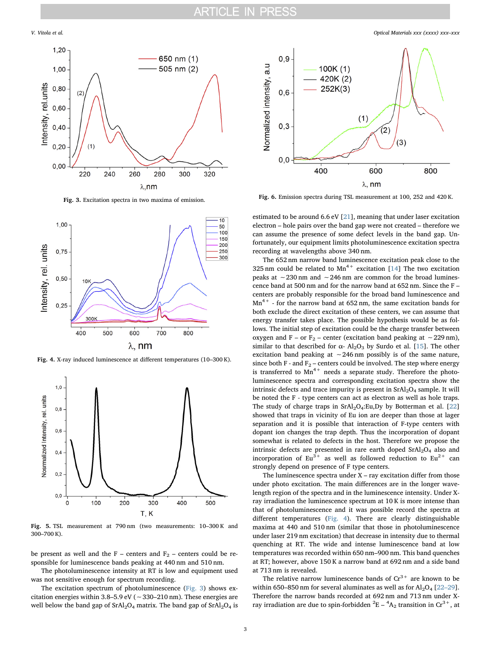<span id="page-2-0"></span>

Fig. 3. Excitation spectra in two maxima of emission.

<span id="page-2-1"></span>

Fig. 4. X-ray induced luminescence at different temperatures (10–300 K).

<span id="page-2-2"></span>

Fig. 5. TSL measurement at 790 nm (two measurements: 10–300 K and 300–700 K).

be present as well and the F – centers and  $F_2$  – centers could be responsible for luminescence bands peaking at 440 nm and 510 nm.

The photoluminescence intensity at RT is low and equipment used was not sensitive enough for spectrum recording.

The excitation spectrum of photoluminescence ([Fig. 3\)](#page-2-0) shows excitation energies within 3.8–5.9 eV (∼330–210 nm). These energies are well below the band gap of  $SrAl<sub>2</sub>O<sub>4</sub>$  matrix. The band gap of  $SrAl<sub>2</sub>O<sub>4</sub>$  is

<span id="page-2-3"></span>

Fig. 6. Emission spectra during TSL measurement at 100, 252 and 420 K.

estimated to be around 6.6 eV [[21\]](#page-4-2), meaning that under laser excitation electron – hole pairs over the band gap were not created – therefore we can assume the presence of some defect levels in the band gap. Unfortunately, our equipment limits photoluminescence excitation spectra recording at wavelengths above 340 nm.

The 652 nm narrow band luminescence excitation peak close to the 325 nm could be related to  $Mn^{4+}$  excitation [\[14](#page-3-10)] The two excitation peaks at ∼230 nm and ∼246 nm are common for the broad luminescence band at 500 nm and for the narrow band at 652 nm. Since the F – centers are probably responsible for the broad band luminescence and  $Mn^{4+}$  - for the narrow band at 652 nm, the same excitation bands for both exclude the direct excitation of these centers, we can assume that energy transfer takes place. The possible hypothesis would be as follows. The initial step of excitation could be the charge transfer between oxygen and F – or F<sub>2</sub> – center (excitation band peaking at ~229 nm), similar to that described for  $\alpha$ - Al<sub>2</sub>O<sub>3</sub> by Surdo et al. [\[15](#page-3-11)]. The other excitation band peaking at ∼246 nm possibly is of the same nature, since both F - and  $F_2$  – centers could be involved. The step where energy is transferred to  $Mn^{4+}$  needs a separate study. Therefore the photoluminescence spectra and corresponding excitation spectra show the intrinsic defects and trace impurity is present in  $SrAl<sub>2</sub>O<sub>4</sub>$  sample. It will be noted the F - type centers can act as electron as well as hole traps. The study of charge traps in  $SrAl<sub>2</sub>O<sub>4</sub>:Eu,Dy$  by Botterman et al. [\[22](#page-4-3)] showed that traps in vicinity of Eu ion are deeper than those at lager separation and it is possible that interaction of F-type centers with dopant ion changes the trap depth. Thus the incorporation of dopant somewhat is related to defects in the host. Therefore we propose the intrinsic defects are presented in rare earth doped SrAl<sub>2</sub>O<sub>4</sub> also and incorporation of  $Eu^{3+}$  as well as followed reduction to  $Eu^{2+}$  can strongly depend on presence of F type centers.

The luminescence spectra under  $X$  – ray excitation differ from those under photo excitation. The main differences are in the longer wavelength region of the spectra and in the luminescence intensity. Under Xray irradiation the luminescence spectrum at 10 K is more intense than that of photoluminescence and it was possible record the spectra at different temperatures ([Fig. 4](#page-2-1)). There are clearly distinguishable maxima at 440 and 510 nm (similar that those in photoluminescence under laser 219 nm excitation) that decrease in intensity due to thermal quenching at RT. The wide and intense luminescence band at low temperatures was recorded within 650 nm–900 nm. This band quenches at RT; however, above 150 K a narrow band at 692 nm and a side band at 713 nm is revealed.

The relative narrow luminescence bands of  $Cr^{3+}$  are known to be within 650–850 nm for several aluminates as well as for  $Al_2O_4$  [\[22](#page-4-3)–29]. Therefore the narrow bands recorded at 692 nm and 713 nm under Xray irradiation are due to spin-forbidden  ${}^{2}E - {}^{4}A_{2}$  transition in Cr<sup>3+</sup>, at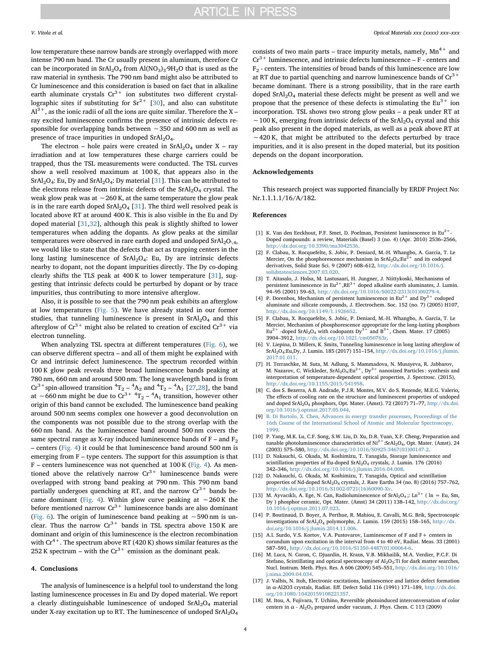low temperature these narrow bands are strongly overlapped with more intense 790 nm band. The Cr usually present in aluminum, therefore Cr can be incorporated in  $SrAl<sub>2</sub>O<sub>4</sub>$  from  $Al(NO<sub>3</sub>)<sub>3</sub>·9H<sub>2</sub>O$  that is used as the raw material in synthesis. The 790 nm band might also be attributed to Cr luminescence and this consideration is based on fact that in alkaline earth aluminate crystals  $\mathrm{Cr^{3+}}$  ion substitutes two different crystallographic sites if substituting for  $Sr^{2+}$  [\[30](#page-4-4)], and also can substitute  $Al^{3+}$ , as the ionic radii of all the ions are quite similar. Therefore the X – ray excited luminescence confirms the presence of intrinsic defects responsible for overlapping bands between ∼350 and 600 nm as well as presence of trace impurities in undoped  $SrA1_2O_4$ .

The electron – hole pairs were created in  $SrAl_2O_4$  under X – ray irradiation and at low temperatures these charge carriers could be trapped, thus the TSL measurements were conducted. The TSL curves show a well resolved maximum at 100 K, that appears also in the SrAl<sub>2</sub>O<sub>4</sub>: Eu, Dy and SrAl<sub>2</sub>O<sub>4</sub>: Dy material [\[31](#page-4-5)]. This can be attributed to the electrons release from intrinsic defects of the  $SrAl<sub>2</sub>O<sub>4</sub>$  crystal. The weak glow peak was at ∼260 K, at the same temperature the glow peak is in the rare earth doped  $SrAl<sub>2</sub>O<sub>4</sub>$  [[31\]](#page-4-5). The third well resolved peak is located above RT at around 400 K. This is also visible in the Eu and Dy doped material [[31,](#page-4-5)[32\]](#page-4-6), although this peak is slightly shifted to lower temperatures when adding the dopants. As glow peaks at the similar temperatures were observed in rare earth doped and undoped  $SrAl<sub>2</sub>O<sub>\4</sub>$ , we would like to state that the defects that act as trapping centers in the long lasting luminescence of  $SrAl<sub>2</sub>O<sub>4</sub>$ : Eu, Dy are intrinsic defects nearby to dopant, not the dopant impurities directly. The Dy co-doping clearly shifts the TLS peak at 400 K to lower temperature [\[31](#page-4-5)], suggesting that intrinsic defects could be perturbed by dopant or by trace impurities, thus contributing to more intensive afterglow.

Also, it is possible to see that the 790 nm peak exhibits an afterglow at low temperatures ([Fig. 5](#page-2-2)). We have already stated in our former studies, that tunneling luminescence is present in SrAl<sub>2</sub>O<sub>4</sub> and this afterglow of  $Cr^{3+}$  might also be related to creation of excited  $Cr^{3+}$  via electron tunneling.

When analyzing TSL spectra at different temperatures ([Fig. 6](#page-2-3)), we can observe different spectra – and all of them might be explained with Cr and intrinsic defect luminescence. The spectrum recorded within 100 K glow peak reveals three broad luminescence bands peaking at 780 nm, 660 nm and around 500 nm. The long wavelength band is from  $Cr^{3+}$ spin-allowed transition  ${}^{4}T_{2} - {}^{4}A_{2}$  and  ${}^{4}T_{2} - {}^{4}A_{1}$  [\[27](#page-4-7)[,28](#page-4-8)], the band at ∼660 nm might be due to  $\text{Cr}^{3+4}\text{T}_2 - \text{A}_1$  transition, however other origin of this band cannot be excluded. The luminescence band peaking around 500 nm seems complex one however a good deconvolution on the components was not possible due to the strong overlap with the 660 nm band. As the luminescence band around 500 nm covers the same spectral range as X-ray induced luminescence bands of  $F -$  and  $F<sub>2</sub>$ – centers ([Fig. 4\)](#page-2-1) it could be that luminescence band around 500 nm is emerging from F – type centers. The support for this assumption is that F – centers luminescence was not quenched at 100 K [\(Fig. 4\)](#page-2-1). As mentioned above the relatively narrow  $Cr^{3+}$  luminescence bands were overlapped with strong band peaking at 790 nm. This 790 nm band partially undergoes quenching at RT, and the narrow  $Cr^{3+}$  bands became dominant ([Fig. 4](#page-2-1)). Within glow curve peaking at ∼260 K the before mentioned narrow  $Cr^{3+}$  luminescence bands are also dominant ([Fig. 6](#page-2-3)). The origin of luminescence band peaking at ∼590 nm is unclear. Thus the narrow  $Cr^{3+}$  bands in TSL spectra above 150 K are dominant and origin of this luminescence is the electron recombination with  $Cr^{4+}$ . The spectrum above RT (420 K) shows similar features as the 252 K spectrum – with the  $Cr^{3+}$  emission as the dominant peak.

#### 4. Conclusions

The analysis of luminescence is a helpful tool to understand the long lasting luminescence processes in Eu and Dy doped material. We report a clearly distinguishable luminescence of undoped  $SrAl<sub>2</sub>O<sub>4</sub>$  material under X-ray excitation up to RT. The luminescence of undoped  $SrAl<sub>2</sub>O<sub>4</sub>$ 

consists of two main parts – trace impurity metals, namely,  $Mn^{4+}$  and  $Cr^{3+}$  luminescence, and intrinsic defects luminescence – F - centers and F2 - centers. The intensities of broad bands of this luminescence are low at RT due to partial quenching and narrow luminescence bands of  $\mathrm{Cr^{3+}}$ became dominant. There is a strong possibility, that in the rare earth doped  $SrAl<sub>2</sub>O<sub>4</sub>$  material these defects might be present as well and we propose that the presence of these defects is stimulating the  $Eu^{3+}$  ion incorporation. TSL shows two strong glow peaks – a peak under RT at ∼100 K, emerging from intrinsic defects of the SrAl2O4 crystal and this peak also present in the doped materials, as well as a peak above RT at ∼420 K, that might be attributed to the defects perturbed by trace impurities, and it is also present in the doped material, but its position depends on the dopant incorporation.

#### Acknowledgements

This research project was supported financially by ERDF Project No: Nr.1.1.1.1/16/A/182.

#### References

- <span id="page-3-0"></span>[1] K. Van den Eeckhout, P.F. Smet, D. Poelman, Persistent luminescence in Eu<sup>2+</sup>-Doped compounds: a review, Materials (Basel) 3 (no. 4) (Apr. 2010) 2536–2566, [http://dx.doi.org/10.3390/ma3042536.](http://dx.doi.org/10.3390/ma3042536)
- <span id="page-3-1"></span>[2] F. Clabau, X. Rocquefelte, S. Jobic, P. Deniard, M.-H. Whangbo, A. Garcia, T. Le Mercier, On the phosphorescence mechanism in  $SrAl<sub>2</sub>O<sub>4</sub>:Eu<sup>2+</sup>$  and its codoped derivatives, Solid State Sci. 9 (2007) 608–612, [http://dx.doi.org/10.1016/j.](http://dx.doi.org/10.1016/j.solidstatesciences.2007.03.020) [solidstatesciences.2007.03.020.](http://dx.doi.org/10.1016/j.solidstatesciences.2007.03.020)
- [3] T. Aitasalo, J. Holsa, M. Lastusaari, H. Jungner, J. Niittykoski, Mechanisms of persistent luminescence in  $Eu^{2+}, RE^{3+}$  doped alkaline earth aluminates, J. Lumin. 94–95 (2001) 59–63, [http://dx.doi.org/10.1016/S0022-2313\(01\)00279-4.](http://dx.doi.org/10.1016/S0022-2313(01)00279-4)
- [4] P. Dorenbos, Mechanism of persistent luminescence in  $Eu^{2+}$  and  $Dy^{3+}$  codoped aluminate and silicate compounds, J. Electrochem. Soc. 152 (no. 7) (2005) H107, [http://dx.doi.org/10.1149/1.1926652.](http://dx.doi.org/10.1149/1.1926652)
- [5] F. Clabau, X. Rocquefelte, S. Jobic, P. Deniard, M.-H. Whangbo, A. Garcia, T. Le Mercier, Mechanism of phosphorescence appropriate for the long-lasting phosphors  $Eu^{2+}$  -doped SrAl<sub>2</sub>O<sub>4</sub> with codopants Dy<sup>3+</sup> and B<sup>3+</sup>, Chem. Mater. 17 (2005)  $Eu<sup>2+</sup>$  -doped SrAl<sub>2</sub>O<sub>4</sub> with codopants Dy<sup>3+</sup> 3904–3912, [http://dx.doi.org/10.1021/cm050763r.](http://dx.doi.org/10.1021/cm050763r)
- <span id="page-3-2"></span>[6] V. Liepina, D. Millers, K. Smits, Tunneling luminescence in long lasting afterglow of SrAl2O4:Eu,Dy, J. Lumin. 185 (2017) 151–154, [http://dx.doi.org/10.1016/j.jlumin.](http://dx.doi.org/10.1016/j.jlumin.2017.01.011) [2017.01.011.](http://dx.doi.org/10.1016/j.jlumin.2017.01.011)
- <span id="page-3-3"></span>[7] H. Terraschke, M. Suta, M. Adlung, S. Mammadova, N. Musayeva, R. Jabbarov, M. Nazarov, C. Wickleder,  $SrAl<sub>2</sub>O<sub>4</sub>:Eu<sup>2+</sup>, Dy<sup>3+</sup>$  nanosized Particles : synthesis and interpretation of temperature-dependent optical properties, J. Spectrosc. (2015), [http://dx.doi.org/10.1155/2015/541958.](http://dx.doi.org/10.1155/2015/541958)
- <span id="page-3-4"></span>[8] C. dos S. Bezerra, A.B. Andrade, P.J.R. Montes, M.V. do S. Rezende, M.E.G. Valerio, The effects of cooling rate on the structure and luminescent properties of undoped and doped SrAl<sub>2</sub>O<sub>4</sub> phosphors, Opt. Mater. (Amst). 72 (2017) 71–77, [http://dx.doi.](http://dx.doi.org/10.1016/j.optmat.2017.05.044) [org/10.1016/j.optmat.2017.05.044.](http://dx.doi.org/10.1016/j.optmat.2017.05.044)
- <span id="page-3-5"></span>[9] [B. Di Bartolo, X. Chen, Advances in energy transfer processes, Proceedings of the](http://refhub.elsevier.com/S0925-3467(18)30382-3/sref9) [16th Course of the International School of Atomic and Molecular Spectroscopy,](http://refhub.elsevier.com/S0925-3467(18)30382-3/sref9) [1999.](http://refhub.elsevier.com/S0925-3467(18)30382-3/sref9)
- <span id="page-3-6"></span>[10] P. Yang, M.K. Lu, C.F. Song, S.W. Liu, D. Xu, D.R. Yuan, X.F. Cheng, Preparation and tunable photoluminescence characteristics of Ni<sup>2+</sup>:SrAl<sub>2</sub>O<sub>4</sub>, Opt. Mater. (Amst). 24 (2003) 575–580, [http://dx.doi.org/10.1016/S0925-3467\(03\)00147-2.](http://dx.doi.org/10.1016/S0925-3467(03)00147-2)
- <span id="page-3-7"></span>[11] D. Nakauchi, G. Okada, M. Koshimizu, T. Yanagida, Storage luminescence and scintillation properties of Eu-doped SrAl<sub>2</sub>O<sub>4</sub> crystals, J. Lumin. 176 (2016) 342–346, [http://dx.doi.org/10.1016/j.jlumin.2016.04.008.](http://dx.doi.org/10.1016/j.jlumin.2016.04.008)
- <span id="page-3-8"></span>[12] D. Nakauchi, G. Okada, M. Koshimizu, T. Yanagida, Optical and scintillation properties of Nd-doped SrAl<sub>2</sub>O<sub>4</sub> crystals, J. Rare Earths 34 (no. 8) (2016) 757-762, [http://dx.doi.org/10.1016/S1002-0721\(16\)60090-Xv.](http://dx.doi.org/10.1016/S1002-0721(16)60090-Xv)
- <span id="page-3-9"></span>[13] M. Ayvacıklı, A. Ege, N. Can, Radioluminescence of  $SrAl<sub>2</sub>O<sub>4</sub>$ ;: Ln<sup>3+</sup> (ln = Eu, Sm, Dy ) phosphor ceramic, Opt. Mater. (Amst) 34 (2011) 138–142, [http://dx.doi.org/](http://dx.doi.org/10.1016/j.optmat.2011.07.023) [10.1016/j.optmat.2011.07.023.](http://dx.doi.org/10.1016/j.optmat.2011.07.023)
- <span id="page-3-10"></span>[14] P. Boutinaud, D. Boyer, A. Perthue, R. Mahiou, E. Cavalli, M.G. Brik, Spectroscopic investigations of SrAl<sub>2</sub>O<sub>4</sub> polymorphs, J. Lumin. 159 (2015) 158–165, [http://dx.](http://dx.doi.org/10.1016/j.jlumin.2014.11.006) [doi.org/10.1016/j.jlumin.2014.11.006.](http://dx.doi.org/10.1016/j.jlumin.2014.11.006)
- <span id="page-3-11"></span>[15] A.I. Surdo, V.S. Kortov, V.A. Pustovarov, Luminescence of F and F+ centers in corundum upon excitation in the interval from 4 to 40 eV, Radiat. Meas. 33 (2001) 587–591, [http://dx.doi.org/10.1016/S1350-4487\(01\)00064-6.](http://dx.doi.org/10.1016/S1350-4487(01)00064-6)
- [16] M. Luca, N. Coron, C. Djuardin, H. Kraus, V.B. Mikhailik, M.A. Verdier, P.C.F. Di Stefano, Scintillating and optical spectroscopy of  $Al_2O_3$ : Ti for dark matter searches, Nucl. Instrum. Meth. Phys. Res. A 606 (2009) 545–551, [http://dx.doi.org/10.1016/](http://dx.doi.org/10.1016/j.nima.2009.04.034) [j.nima.2009.04.034.](http://dx.doi.org/10.1016/j.nima.2009.04.034)
- [17] J. Valbis, N. Itoh, Electronic excitations, luminescence and lattice defect formation in α-Al2O3 crystals, Radiat. Eff. Defect Solid 116 (1991) 171-189,  $\frac{http://dx.doi.001}{http://dx.doi.001}$  $\frac{http://dx.doi.001}{http://dx.doi.001}$  $\frac{http://dx.doi.001}{http://dx.doi.001}$ [org/10.1080/10420159108221357.](http://dx.doi.org/10.1080/10420159108221357)
- <span id="page-3-12"></span>[18] M. Itou, A. Fujivara, T. Uchino, Reversible photoinduced interconversation of color centers in  $\alpha$  - Al<sub>2</sub>O<sub>3</sub> prepared under vacuum, J. Phys. Chem. C 113 (2009)